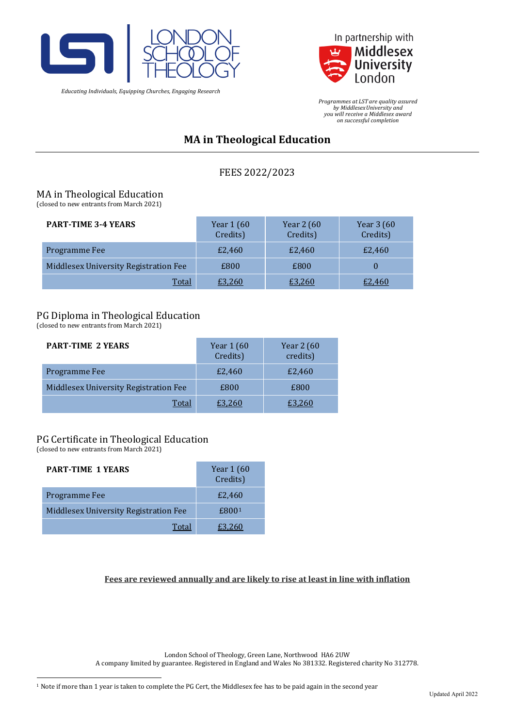

*Educating Individuals, Equipping Churches, Engaging Research*



*Programmes at LST are quality assured by MiddlesexUniversity and you will receive a Middlesex award on successful completion*

# **MA in Theological Education**

FEES 2022/2023

## MA in Theological Education

(closed to new entrants from March 2021)

| <b>PART-TIME 3-4 YEARS</b>            | Year 1 (60<br>Credits) | Year 2 (60<br>Credits) | Year 3 (60<br>Credits) |
|---------------------------------------|------------------------|------------------------|------------------------|
| Programme Fee                         | £2,460                 | £2,460                 | £2,460                 |
| Middlesex University Registration Fee | £800                   | £800                   |                        |
| <b>Total</b>                          | £3,260                 | £3,260                 | £2,460                 |

## PG Diploma in Theological Education

(closed to new entrants from March 2021)

| <b>PART-TIME 2 YEARS</b>              | Year 1 (60<br>Credits) | Year 2 (60<br>credits) |
|---------------------------------------|------------------------|------------------------|
| Programme Fee                         | £2,460                 | £2,460                 |
| Middlesex University Registration Fee | £800                   | £800                   |
| Total                                 | £3,260                 | £3,260                 |

### PG Certificate in Theological Education

(closed to new entrants from March 2021)

| <b>PART-TIME 1 YEARS</b>              | Year $1(60)$<br>Credits) |
|---------------------------------------|--------------------------|
| Programme Fee                         | £2,460                   |
| Middlesex University Registration Fee | £800 <sup>1</sup>        |
| Total                                 | E3 260                   |

**Fees are reviewed annually and are likely to rise at least in line with inflation**

London School of Theology, Green Lane, Northwood HA6 2UW

<span id="page-0-0"></span>A company limited by guarantee. Registered in England and Wales No 381332. Registered charity No 312778.